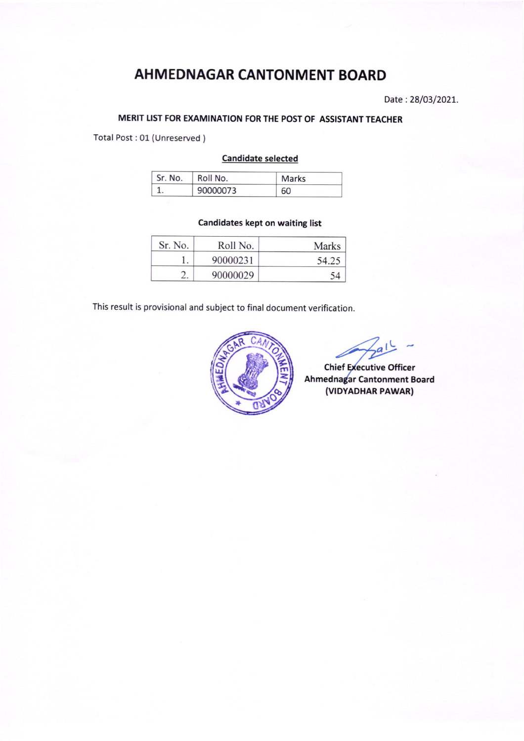# AHMEDNAGAR CANTONMENT BOARD

Date: 28/03/2021.

## MERIT LIST FOR EXAMINATION FOR THE POST OF ASSISTANT TEACHER

Total Post : 01 (Unreserved )

#### Candidate selected

| Sr. No. | Roll No. | <b>Marks</b> |  |
|---------|----------|--------------|--|
|         | 90000073 | 60           |  |

## Candidates kept on waiting list

| Sr. No. | Roll No. | Marks |
|---------|----------|-------|
|         | 90000231 | 54.25 |
|         | 90000029 |       |

This result is provisional and subject to final document verification.



Chief Executive Officer Ahmednagar Cantonment Board (VIDYADHAR PAWAR)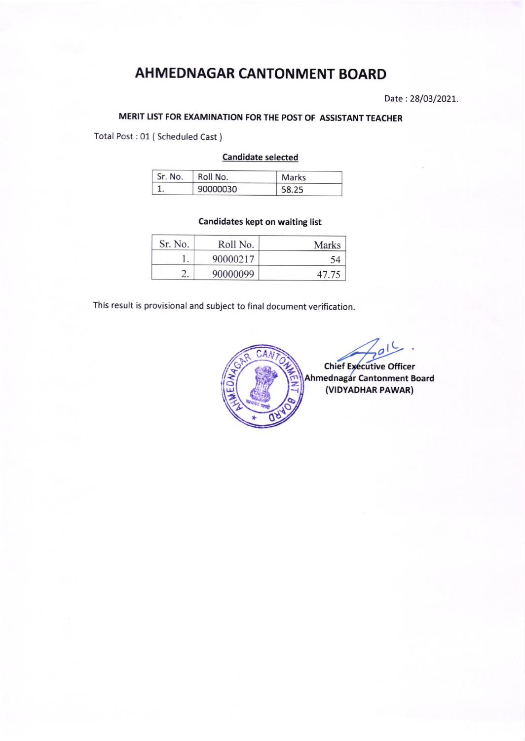# AH MEDNAGAR CANTON MENT BOARD

Date :28/03/2O2L.

# MERIT LIST FOR EXAMINATION FOR THE POST OF ASSISTANT TEACHER

Total Post:01 (Scheduled Cast )

#### Candidate selected

| Sr. No. | Roll No. | Marks |  |
|---------|----------|-------|--|
|         | 90000030 | 58.25 |  |

### Candidates kept on waiting list

| Sr. No. | Roll No. | Marks |
|---------|----------|-------|
|         | 90000217 | 54    |
|         | 90000099 | 47.75 |

This result is provisional and subject to final document verification.



L o

Chief Executive Officer Ahmednagar Cantonment Board (VIDYADHAR PAWAR)